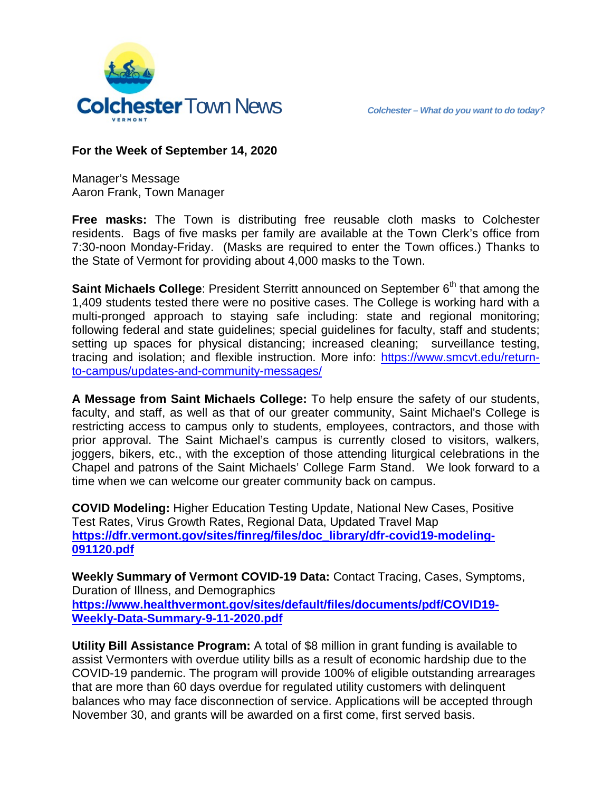

### **For the Week of September 14, 2020**

Manager's Message Aaron Frank, Town Manager

**Free masks:** The Town is distributing free reusable cloth masks to Colchester residents. Bags of five masks per family are available at the Town Clerk's office from 7:30-noon Monday-Friday. (Masks are required to enter the Town offices.) Thanks to the State of Vermont for providing about 4,000 masks to the Town.

**Saint Michaels College:** President Sterritt announced on September 6<sup>th</sup> that among the 1,409 students tested there were no positive cases. The College is working hard with a multi-pronged approach to staying safe including: state and regional monitoring; following federal and state guidelines; special guidelines for faculty, staff and students; setting up spaces for physical distancing; increased cleaning; surveillance testing, tracing and isolation; and flexible instruction. More info: [https://www.smcvt.edu/return](https://www.smcvt.edu/return-to-campus/updates-and-community-messages/)[to-campus/updates-and-community-messages/](https://www.smcvt.edu/return-to-campus/updates-and-community-messages/)

**A Message from Saint Michaels College:** To help ensure the safety of our students, faculty, and staff, as well as that of our greater community, Saint Michael's College is restricting access to campus only to students, employees, contractors, and those with prior approval. The Saint Michael's campus is currently closed to visitors, walkers, joggers, bikers, etc., with the exception of those attending liturgical celebrations in the Chapel and patrons of the Saint Michaels' College Farm Stand. We look forward to a time when we can welcome our greater community back on campus.

**COVID Modeling:** Higher Education Testing Update, National New Cases, Positive Test Rates, Virus Growth Rates, Regional Data, Updated Travel Map **[https://dfr.vermont.gov/sites/finreg/files/doc\\_library/dfr-covid19-modeling-](https://dfr.vermont.gov/sites/finreg/files/doc_library/dfr-covid19-modeling-091120.pdf)[091120.pdf](https://dfr.vermont.gov/sites/finreg/files/doc_library/dfr-covid19-modeling-091120.pdf)**

**Weekly Summary of Vermont COVID-19 Data:** Contact Tracing, Cases, Symptoms, Duration of Illness, and Demographics **[https://www.healthvermont.gov/sites/default/files/documents/pdf/COVID19-](https://www.healthvermont.gov/sites/default/files/documents/pdf/COVID19-Weekly-Data-Summary-9-11-2020.pdf) [Weekly-Data-Summary-9-11-2020.pdf](https://www.healthvermont.gov/sites/default/files/documents/pdf/COVID19-Weekly-Data-Summary-9-11-2020.pdf)**

**Utility Bill Assistance Program:** A total of \$8 million in grant funding is available to assist Vermonters with overdue utility bills as a result of economic hardship due to the COVID-19 pandemic. The program will provide 100% of eligible outstanding arrearages that are more than 60 days overdue for regulated utility customers with delinquent balances who may face disconnection of service. Applications will be accepted through November 30, and grants will be awarded on a first come, first served basis.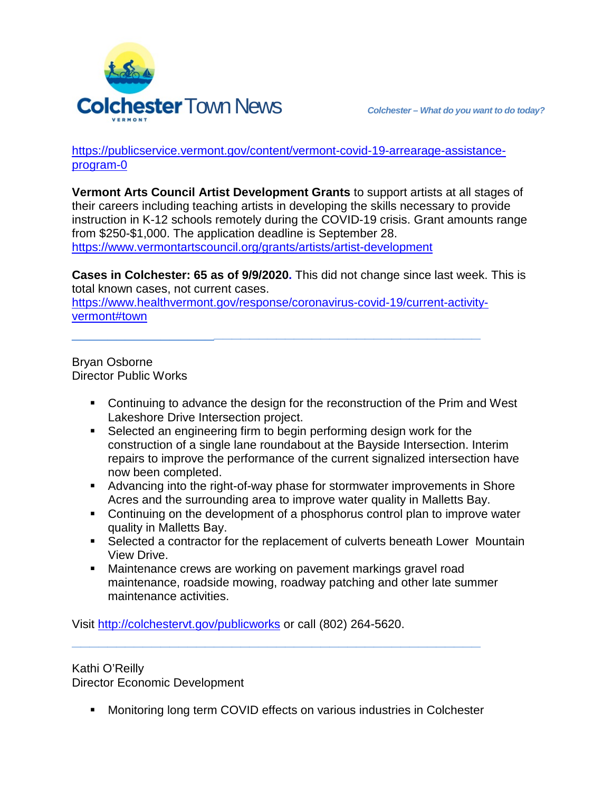

[https://publicservice.vermont.gov/content/vermont-covid-19-arrearage-assistance](https://publicservice.vermont.gov/content/vermont-covid-19-arrearage-assistance-program-0)[program-0](https://publicservice.vermont.gov/content/vermont-covid-19-arrearage-assistance-program-0)

**[Vermont Arts Council Artist Development Grants](https://www.vermontartscouncil.org/grants/artists/artist-development)** to support artists at all stages of their careers including teaching artists in developing the skills necessary to provide instruction in K-12 schools remotely during the COVID-19 crisis. Grant amounts range from \$250-\$1,000. The application deadline is September 28. <https://www.vermontartscouncil.org/grants/artists/artist-development>

**Cases in Colchester: 65 as of 9/9/2020.** This did not change since last week. This is total known cases, not current cases.

[https://www.healthvermont.gov/response/coronavirus-covid-19/current-activity](https://www.healthvermont.gov/response/coronavirus-covid-19/current-activity-vermont#town)[vermont#town](https://www.healthvermont.gov/response/coronavirus-covid-19/current-activity-vermont#town)

\_\_\_\_\_\_\_\_\_\_\_\_\_\_\_\_**\_\_\_\_\_\_\_\_\_\_\_\_\_\_\_\_\_\_\_\_\_\_\_\_\_\_\_\_\_\_**

### Bryan Osborne Director Public Works

- Continuing to advance the design for the reconstruction of the Prim and West Lakeshore Drive Intersection project.
- Selected an engineering firm to begin performing design work for the construction of a single lane roundabout at the Bayside Intersection. Interim repairs to improve the performance of the current signalized intersection have now been completed.
- Advancing into the right-of-way phase for stormwater improvements in Shore Acres and the surrounding area to improve water quality in Malletts Bay.
- Continuing on the development of a phosphorus control plan to improve water quality in Malletts Bay.
- Selected a contractor for the replacement of culverts beneath Lower Mountain View Drive.
- Maintenance crews are working on pavement markings gravel road maintenance, roadside mowing, roadway patching and other late summer maintenance activities.

Visit<http://colchestervt.gov/publicworks> or call (802) 264-5620.

# Kathi O'Reilly

Director Economic Development

Monitoring long term COVID effects on various industries in Colchester

**\_\_\_\_\_\_\_\_\_\_\_\_\_\_\_\_\_\_\_\_\_\_\_\_\_\_\_\_\_\_\_\_\_\_\_\_\_\_\_\_\_\_\_\_\_\_**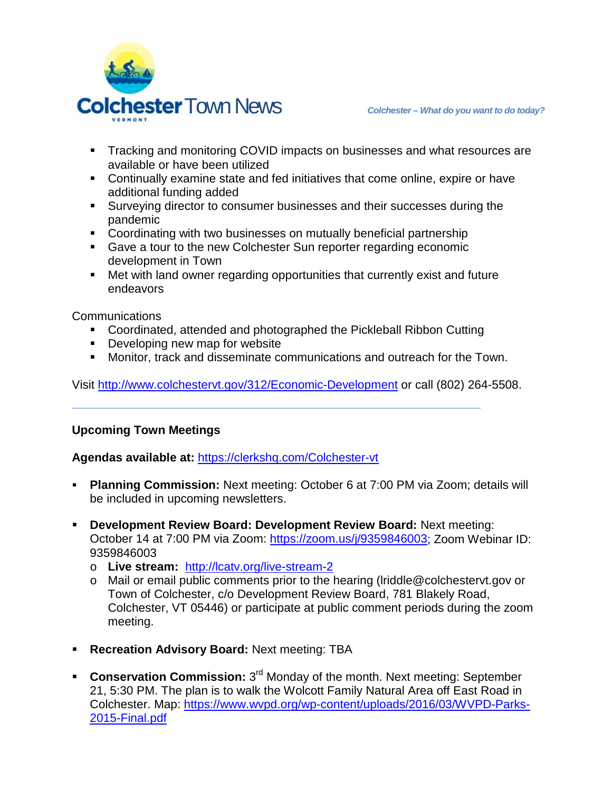

- **Tracking and monitoring COVID impacts on businesses and what resources are** available or have been utilized
- Continually examine state and fed initiatives that come online, expire or have additional funding added
- Surveying director to consumer businesses and their successes during the pandemic
- Coordinating with two businesses on mutually beneficial partnership
- Gave a tour to the new Colchester Sun reporter regarding economic development in Town
- Met with land owner regarding opportunities that currently exist and future endeavors

Communications

- Coordinated, attended and photographed the Pickleball Ribbon Cutting
- **Developing new map for website**
- Monitor, track and disseminate communications and outreach for the Town.

Visit<http://www.colchestervt.gov/312/Economic-Development> or call (802) 264-5508.

**\_\_\_\_\_\_\_\_\_\_\_\_\_\_\_\_\_\_\_\_\_\_\_\_\_\_\_\_\_\_\_\_\_\_\_\_\_\_\_\_\_\_\_\_\_\_**

## **Upcoming Town Meetings**

**Agendas available at:** <https://clerkshq.com/Colchester-vt>

- **Planning Commission:** Next meeting: October 6 at 7:00 PM via Zoom; details will be included in upcoming newsletters.
- **Development Review Board: Development Review Board:** Next meeting: October 14 at 7:00 PM via Zoom: [https://zoom.us/j/9359846003;](https://zoom.us/j/9359846003) Zoom Webinar ID: 9359846003
	- o **Live stream:** <http://lcatv.org/live-stream-2>
	- o Mail or email public comments prior to the hearing (lriddle@colchestervt.gov or Town of Colchester, c/o Development Review Board, 781 Blakely Road, Colchester, VT 05446) or participate at public comment periods during the zoom meeting.
- **Recreation Advisory Board:** Next meeting: TBA
- **Conservation Commission:** 3<sup>rd</sup> Monday of the month. Next meeting: September 21, 5:30 PM. The plan is to walk the Wolcott Family Natural Area off East Road in Colchester. Map: [https://www.wvpd.org/wp-content/uploads/2016/03/WVPD-Parks-](https://www.wvpd.org/wp-content/uploads/2016/03/WVPD-Parks-2015-Final.pdf)[2015-Final.pdf](https://www.wvpd.org/wp-content/uploads/2016/03/WVPD-Parks-2015-Final.pdf)